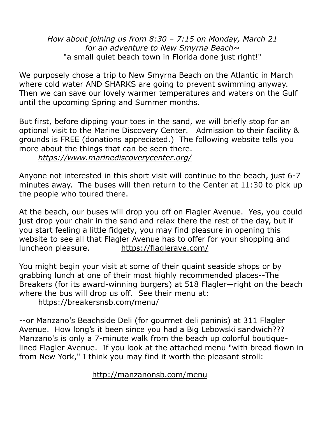*How about joining us from 8:30 – 7:15 on Monday, March 21 for an adventure to New Smyrna Beach~*  "a small quiet beach town in Florida done just right!"

We purposely chose a trip to New Smyrna Beach on the Atlantic in March where cold water AND SHARKS are going to prevent swimming anyway. Then we can save our lovely warmer temperatures and waters on the Gulf until the upcoming Spring and Summer months.

But first, before dipping your toes in the sand, we will briefly stop for an optional visit to the Marine Discovery Center. Admission to their facility & grounds is FREE (donations appreciated.) The following website tells you more about the things that can be seen there. *<https://www.marinediscoverycenter.org/>*

Anyone not interested in this short visit will continue to the beach, just 6-7 minutes away. The buses will then return to the Center at 11:30 to pick up the people who toured there.

At the beach, our buses will drop you off on Flagler Avenue. Yes, you could just drop your chair in the sand and relax there the rest of the day, but if you start feeling a little fidgety, you may find pleasure in opening this website to see all that Flagler Avenue has to offer for your shopping and luncheon pleasure. <https://flaglerave.com/>

You might begin your visit at some of their quaint seaside shops or by grabbing lunch at one of their most highly recommended places--The Breakers (for its award-winning burgers) at 518 Flagler—right on the beach where the bus will drop us off. See their menu at:

<https://breakersnsb.com/menu/>

--or Manzano's Beachside Deli (for gourmet deli paninis) at 311 Flagler Avenue. How long's it been since you had a Big Lebowski sandwich??? Manzano's is only a 7-minute walk from the beach up colorful boutiquelined Flagler Avenue. If you look at the attached menu "with bread flown in from New York," I think you may find it worth the pleasant stroll:

<http://manzanonsb.com/menu>